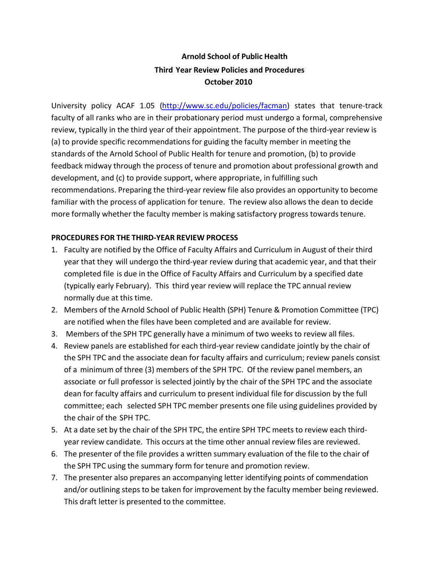## **Arnold School of Public Health Third Year Review Policies and Procedures October 2010**

University policy ACAF 1.05 [\(http://www.sc.edu/policies/facman\)](http://www.sc.edu/policies/facman) states that tenure‐track faculty of all ranks who are in their probationary period must undergo a formal, comprehensive review, typically in the third year of their appointment. The purpose of the third-year review is (a) to provide specific recommendations for guiding the faculty member in meeting the standards of the Arnold School of Public Health for tenure and promotion, (b) to provide feedback midway through the process of tenure and promotion about professional growth and development, and (c) to provide support, where appropriate, in fulfilling such recommendations. Preparing the third‐year review file also provides an opportunity to become familiar with the process of application for tenure. The review also allows the dean to decide more formally whether the faculty member is making satisfactory progress towards tenure.

## **PROCEDURES FOR THE THIRD‐YEAR REVIEW PROCESS**

- 1. Faculty are notified by the Office of Faculty Affairs and Curriculum in August of their third year that they will undergo the third‐year review during that academic year, and that their completed file is due in the Office of Faculty Affairs and Curriculum by a specified date (typically early February). This third year review will replace the TPC annual review normally due at this time.
- 2. Members of the Arnold School of Public Health (SPH) Tenure & Promotion Committee (TPC) are notified when the files have been completed and are available for review.
- 3. Members of the SPH TPC generally have a minimum of two weeks to review all files.
- 4. Review panels are established for each third‐year review candidate jointly by the chair of the SPH TPC and the associate dean for faculty affairs and curriculum; review panels consist of a minimum of three (3) members of the SPH TPC. Of the review panel members, an associate or full professor is selected jointly by the chair of the SPH TPC and the associate dean for faculty affairs and curriculum to present individual file for discussion by the full committee; each selected SPH TPC member presents one file using guidelines provided by the chair of the SPH TPC.
- 5. At a date set by the chair of the SPH TPC, the entire SPH TPC meets to review each third‐ year review candidate. This occurs at the time other annual review files are reviewed.
- 6. The presenter of the file provides a written summary evaluation of the file to the chair of the SPH TPC using the summary form for tenure and promotion review.
- 7. The presenter also prepares an accompanying letter identifying points of commendation and/or outlining steps to be taken for improvement by the faculty member being reviewed. This draft letter is presented to the committee.